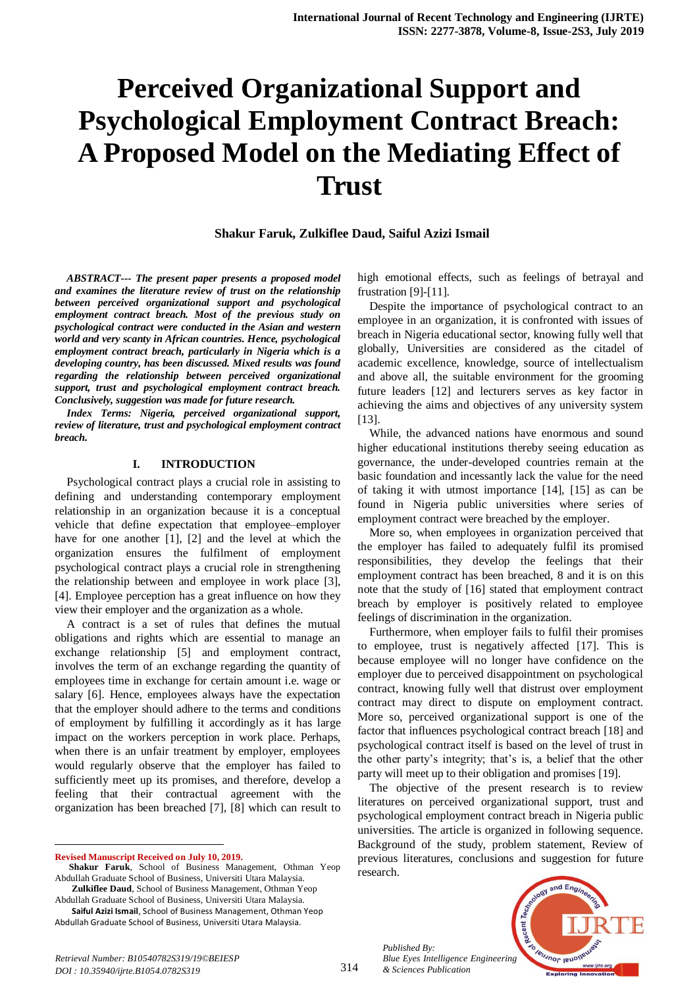# **Perceived Organizational Support and Psychological Employment Contract Breach: A Proposed Model on the Mediating Effect of Trust**

**Shakur Faruk, Zulkiflee Daud, Saiful Azizi Ismail**

*ABSTRACT--- The present paper presents a proposed model and examines the literature review of trust on the relationship between perceived organizational support and psychological employment contract breach. Most of the previous study on psychological contract were conducted in the Asian and western world and very scanty in African countries. Hence, psychological employment contract breach, particularly in Nigeria which is a developing country, has been discussed. Mixed results was found regarding the relationship between perceived organizational support, trust and psychological employment contract breach. Conclusively, suggestion was made for future research.*

*Index Terms: Nigeria, perceived organizational support, review of literature, trust and psychological employment contract breach.*

#### **I. INTRODUCTION**

Psychological contract plays a crucial role in assisting to defining and understanding contemporary employment relationship in an organization because it is a conceptual vehicle that define expectation that employee–employer have for one another [1], [2] and the level at which the organization ensures the fulfilment of employment psychological contract plays a crucial role in strengthening the relationship between and employee in work place [3], [4]. Employee perception has a great influence on how they view their employer and the organization as a whole.

A contract is a set of rules that defines the mutual obligations and rights which are essential to manage an exchange relationship [5] and employment contract, involves the term of an exchange regarding the quantity of employees time in exchange for certain amount i.e. wage or salary [6]. Hence, employees always have the expectation that the employer should adhere to the terms and conditions of employment by fulfilling it accordingly as it has large impact on the workers perception in work place. Perhaps, when there is an unfair treatment by employer, employees would regularly observe that the employer has failed to sufficiently meet up its promises, and therefore, develop a feeling that their contractual agreement with the organization has been breached [7], [8] which can result to

**Revised Manuscript Received on July 10, 2019.**

1

Abdullah Graduate School of Business, Universiti Utara Malaysia.

**Saiful Azizi Ismail**, School of Business Management, Othman Yeop Abdullah Graduate School of Business, Universiti Utara Malaysia.

high emotional effects, such as feelings of betrayal and frustration [9]-[11].

Despite the importance of psychological contract to an employee in an organization, it is confronted with issues of breach in Nigeria educational sector, knowing fully well that globally, Universities are considered as the citadel of academic excellence, knowledge, source of intellectualism and above all, the suitable environment for the grooming future leaders [12] and lecturers serves as key factor in achieving the aims and objectives of any university system [13].

While, the advanced nations have enormous and sound higher educational institutions thereby seeing education as governance, the under-developed countries remain at the basic foundation and incessantly lack the value for the need of taking it with utmost importance [14], [15] as can be found in Nigeria public universities where series of employment contract were breached by the employer.

More so, when employees in organization perceived that the employer has failed to adequately fulfil its promised responsibilities, they develop the feelings that their employment contract has been breached, 8 and it is on this note that the study of [16] stated that employment contract breach by employer is positively related to employee feelings of discrimination in the organization.

Furthermore, when employer fails to fulfil their promises to employee, trust is negatively affected [17]. This is because employee will no longer have confidence on the employer due to perceived disappointment on psychological contract, knowing fully well that distrust over employment contract may direct to dispute on employment contract. More so, perceived organizational support is one of the factor that influences psychological contract breach [18] and psychological contract itself is based on the level of trust in the other party's integrity; that's is, a belief that the other party will meet up to their obligation and promises [19].

The objective of the present research is to review literatures on perceived organizational support, trust and psychological employment contract breach in Nigeria public universities. The article is organized in following sequence. Background of the study, problem statement, Review of previous literatures, conclusions and suggestion for future research.

*Published By: Blue Eyes Intelligence Engineering & Sciences Publication* 



**Shakur Faruk**, School of Business Management, Othman Yeop Abdullah Graduate School of Business, Universiti Utara Malaysia. **Zulkiflee Daud**, School of Business Management, Othman Yeop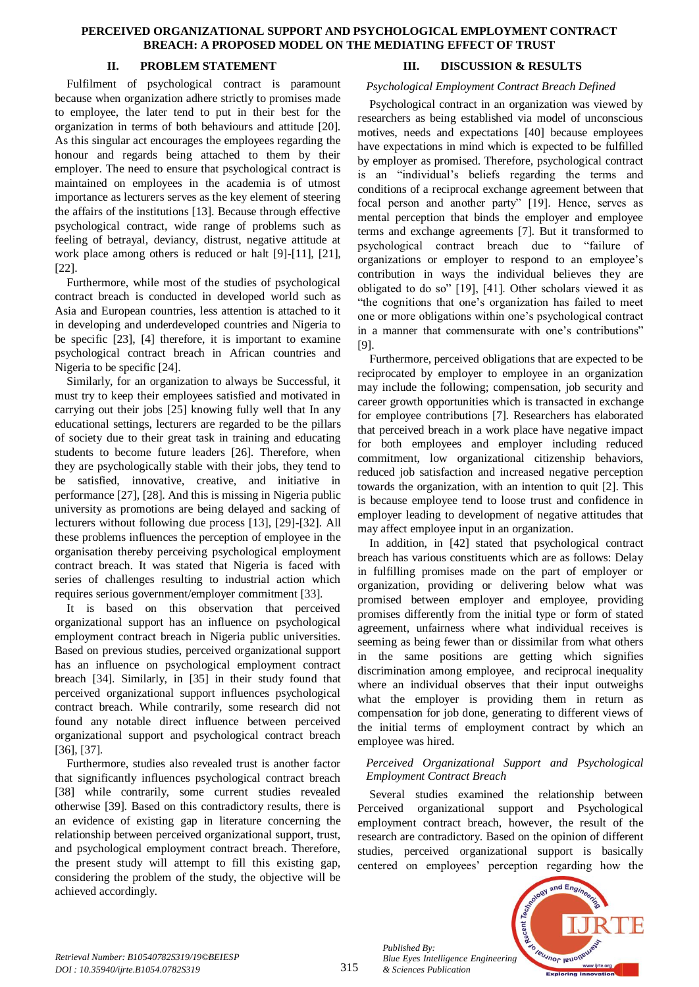#### **PERCEIVED ORGANIZATIONAL SUPPORT AND PSYCHOLOGICAL EMPLOYMENT CONTRACT BREACH: A PROPOSED MODEL ON THE MEDIATING EFFECT OF TRUST**

# **II. PROBLEM STATEMENT**

Fulfilment of psychological contract is paramount because when organization adhere strictly to promises made to employee, the later tend to put in their best for the organization in terms of both behaviours and attitude [20]. As this singular act encourages the employees regarding the honour and regards being attached to them by their employer. The need to ensure that psychological contract is maintained on employees in the academia is of utmost importance as lecturers serves as the key element of steering the affairs of the institutions [13]. Because through effective psychological contract, wide range of problems such as feeling of betrayal, deviancy, distrust, negative attitude at work place among others is reduced or halt [9]-[11], [21], [22].

Furthermore, while most of the studies of psychological contract breach is conducted in developed world such as Asia and European countries, less attention is attached to it in developing and underdeveloped countries and Nigeria to be specific [23], [4] therefore, it is important to examine psychological contract breach in African countries and Nigeria to be specific [24].

Similarly, for an organization to always be Successful, it must try to keep their employees satisfied and motivated in carrying out their jobs [25] knowing fully well that In any educational settings, lecturers are regarded to be the pillars of society due to their great task in training and educating students to become future leaders [26]. Therefore, when they are psychologically stable with their jobs, they tend to be satisfied, innovative, creative, and initiative in performance [27], [28]. And this is missing in Nigeria public university as promotions are being delayed and sacking of lecturers without following due process [13], [29]-[32]. All these problems influences the perception of employee in the organisation thereby perceiving psychological employment contract breach. It was stated that Nigeria is faced with series of challenges resulting to industrial action which requires serious government/employer commitment [33].

It is based on this observation that perceived organizational support has an influence on psychological employment contract breach in Nigeria public universities. Based on previous studies, perceived organizational support has an influence on psychological employment contract breach [34]. Similarly, in [35] in their study found that perceived organizational support influences psychological contract breach. While contrarily, some research did not found any notable direct influence between perceived organizational support and psychological contract breach [36], [37].

Furthermore, studies also revealed trust is another factor that significantly influences psychological contract breach [38] while contrarily, some current studies revealed otherwise [39]. Based on this contradictory results, there is an evidence of existing gap in literature concerning the relationship between perceived organizational support, trust, and psychological employment contract breach. Therefore, the present study will attempt to fill this existing gap, considering the problem of the study, the objective will be achieved accordingly.

# **III. DISCUSSION & RESULTS**

## *Psychological Employment Contract Breach Defined*

Psychological contract in an organization was viewed by researchers as being established via model of unconscious motives, needs and expectations [40] because employees have expectations in mind which is expected to be fulfilled by employer as promised. Therefore, psychological contract is an "individual's beliefs regarding the terms and conditions of a reciprocal exchange agreement between that focal person and another party" [19]. Hence, serves as mental perception that binds the employer and employee terms and exchange agreements [7]. But it transformed to psychological contract breach due to "failure of organizations or employer to respond to an employee's contribution in ways the individual believes they are obligated to do so" [19], [41]. Other scholars viewed it as "the cognitions that one's organization has failed to meet one or more obligations within one's psychological contract in a manner that commensurate with one's contributions" [9].

Furthermore, perceived obligations that are expected to be reciprocated by employer to employee in an organization may include the following; compensation, job security and career growth opportunities which is transacted in exchange for employee contributions [7]. Researchers has elaborated that perceived breach in a work place have negative impact for both employees and employer including reduced commitment, low organizational citizenship behaviors, reduced job satisfaction and increased negative perception towards the organization, with an intention to quit [2]. This is because employee tend to loose trust and confidence in employer leading to development of negative attitudes that may affect employee input in an organization.

In addition, in [42] stated that psychological contract breach has various constituents which are as follows: Delay in fulfilling promises made on the part of employer or organization, providing or delivering below what was promised between employer and employee, providing promises differently from the initial type or form of stated agreement, unfairness where what individual receives is seeming as being fewer than or dissimilar from what others in the same positions are getting which signifies discrimination among employee, and reciprocal inequality where an individual observes that their input outweighs what the employer is providing them in return as compensation for job done, generating to different views of the initial terms of employment contract by which an employee was hired.

# *Perceived Organizational Support and Psychological Employment Contract Breach*

Several studies examined the relationship between Perceived organizational support and Psychological employment contract breach, however, the result of the research are contradictory. Based on the opinion of different studies, perceived organizational support is basically centered on employees' perception regarding how the



*Retrieval Number: B10540782S319/19©BEIESP DOI : 10.35940/ijrte.B1054.0782S319*

315

*Published By:*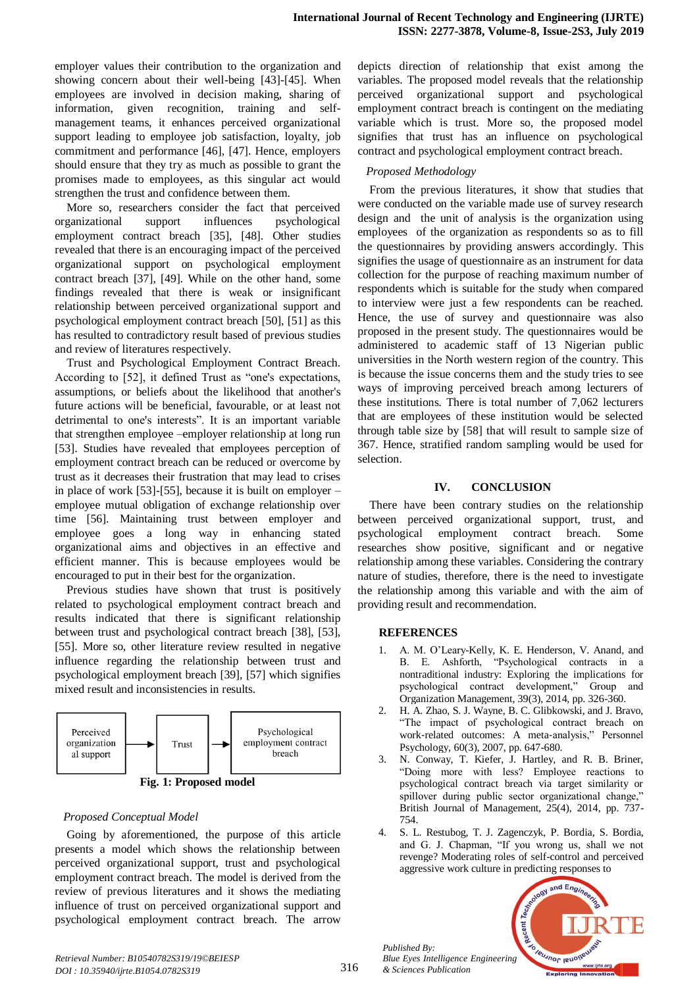employer values their contribution to the organization and showing concern about their well-being [43]-[45]. When employees are involved in decision making, sharing of information, given recognition, training and selfmanagement teams, it enhances perceived organizational support leading to employee job satisfaction, loyalty, job commitment and performance [46], [47]. Hence, employers should ensure that they try as much as possible to grant the promises made to employees, as this singular act would strengthen the trust and confidence between them.

More so, researchers consider the fact that perceived organizational support influences psychological employment contract breach [35], [48]. Other studies revealed that there is an encouraging impact of the perceived organizational support on psychological employment contract breach [37], [49]. While on the other hand, some findings revealed that there is weak or insignificant relationship between perceived organizational support and psychological employment contract breach [50], [51] as this has resulted to contradictory result based of previous studies and review of literatures respectively.

Trust and Psychological Employment Contract Breach. According to [52], it defined Trust as "one's expectations, assumptions, or beliefs about the likelihood that another's future actions will be beneficial, favourable, or at least not detrimental to one's interests". It is an important variable that strengthen employee –employer relationship at long run [53]. Studies have revealed that employees perception of employment contract breach can be reduced or overcome by trust as it decreases their frustration that may lead to crises in place of work [53]-[55], because it is built on employer – employee mutual obligation of exchange relationship over time [56]. Maintaining trust between employer and employee goes a long way in enhancing stated organizational aims and objectives in an effective and efficient manner. This is because employees would be encouraged to put in their best for the organization.

Previous studies have shown that trust is positively related to psychological employment contract breach and results indicated that there is significant relationship between trust and psychological contract breach [38], [53], [55]. More so, other literature review resulted in negative influence regarding the relationship between trust and psychological employment breach [39], [57] which signifies mixed result and inconsistencies in results.



## *Proposed Conceptual Model*

Going by aforementioned, the purpose of this article presents a model which shows the relationship between perceived organizational support, trust and psychological employment contract breach. The model is derived from the review of previous literatures and it shows the mediating influence of trust on perceived organizational support and psychological employment contract breach. The arrow

depicts direction of relationship that exist among the variables. The proposed model reveals that the relationship perceived organizational support and psychological employment contract breach is contingent on the mediating variable which is trust. More so, the proposed model signifies that trust has an influence on psychological contract and psychological employment contract breach.

# *Proposed Methodology*

From the previous literatures, it show that studies that were conducted on the variable made use of survey research design and the unit of analysis is the organization using employees of the organization as respondents so as to fill the questionnaires by providing answers accordingly. This signifies the usage of questionnaire as an instrument for data collection for the purpose of reaching maximum number of respondents which is suitable for the study when compared to interview were just a few respondents can be reached. Hence, the use of survey and questionnaire was also proposed in the present study. The questionnaires would be administered to academic staff of 13 Nigerian public universities in the North western region of the country. This is because the issue concerns them and the study tries to see ways of improving perceived breach among lecturers of these institutions. There is total number of 7,062 lecturers that are employees of these institution would be selected through table size by [58] that will result to sample size of 367. Hence, stratified random sampling would be used for selection.

## **IV. CONCLUSION**

There have been contrary studies on the relationship between perceived organizational support, trust, and psychological employment contract breach. Some researches show positive, significant and or negative relationship among these variables. Considering the contrary nature of studies, therefore, there is the need to investigate the relationship among this variable and with the aim of providing result and recommendation.

## **REFERENCES**

- 1. A. M. O'Leary-Kelly, K. E. Henderson, V. Anand, and B. E. Ashforth, "Psychological contracts in a nontraditional industry: Exploring the implications for psychological contract development," Group and Organization Management, 39(3), 2014, pp. 326-360.
- 2. H. A. Zhao, S. J. Wayne, B. C. Glibkowski, and J. Bravo, "The impact of psychological contract breach on work‐related outcomes: A meta‐analysis," Personnel Psychology, 60(3), 2007, pp. 647-680.
- 3. N. Conway, T. Kiefer, J. Hartley, and R. B. Briner, "Doing more with less? Employee reactions to psychological contract breach via target similarity or spillover during public sector organizational change," British Journal of Management, 25(4), 2014, pp. 737- 754.
- 4. S. L. Restubog, T. J. Zagenczyk, P. Bordia, S. Bordia, and G. J. Chapman, "If you wrong us, shall we not revenge? Moderating roles of self-control and perceived aggressive work culture in predicting responses to



*Published By:*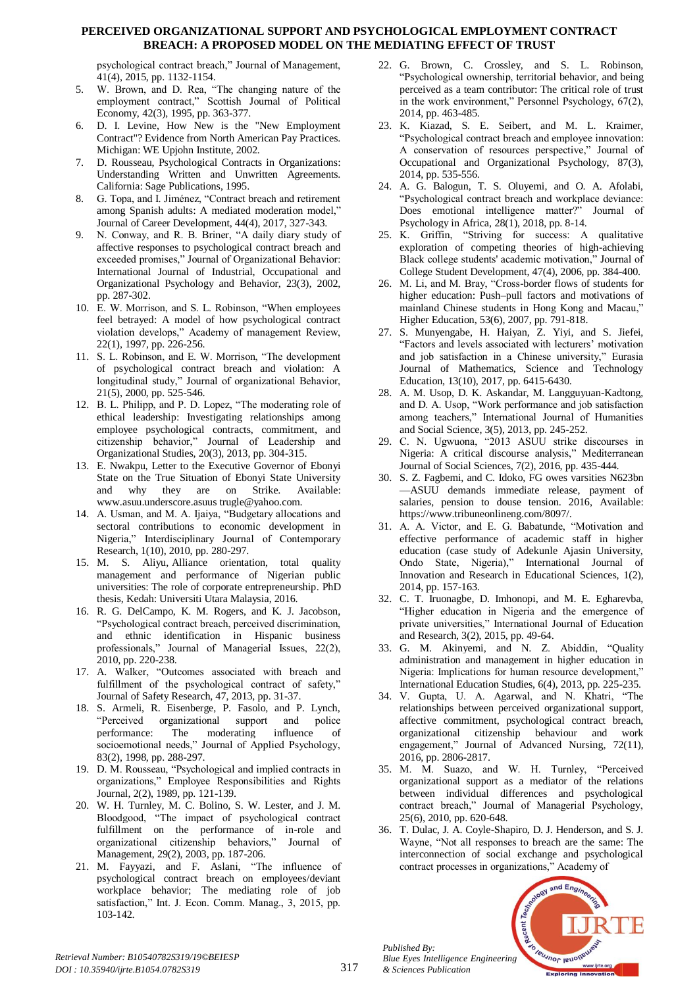#### **PERCEIVED ORGANIZATIONAL SUPPORT AND PSYCHOLOGICAL EMPLOYMENT CONTRACT BREACH: A PROPOSED MODEL ON THE MEDIATING EFFECT OF TRUST**

psychological contract breach," Journal of Management, 41(4), 2015, pp. 1132-1154.

- 5. W. Brown, and D. Rea, "The changing nature of the employment contract," Scottish Journal of Political Economy, 42(3), 1995, pp. 363-377.
- 6. D. I. Levine, How New is the "New Employment Contract"? Evidence from North American Pay Practices. Michigan: WE Upjohn Institute, 2002.
- 7. D. Rousseau, Psychological Contracts in Organizations: Understanding Written and Unwritten Agreements. California: Sage Publications, 1995.
- 8. G. Topa, and I. Jiménez, "Contract breach and retirement among Spanish adults: A mediated moderation model," Journal of Career Development, 44(4), 2017, 327-343.
- 9. N. Conway, and R. B. Briner, "A daily diary study of affective responses to psychological contract breach and exceeded promises," Journal of Organizational Behavior: International Journal of Industrial, Occupational and Organizational Psychology and Behavior, 23(3), 2002, pp. 287-302.
- 10. E. W. Morrison, and S. L. Robinson, "When employees feel betrayed: A model of how psychological contract violation develops," Academy of management Review, 22(1), 1997, pp. 226-256.
- 11. S. L. Robinson, and E. W. Morrison, "The development of psychological contract breach and violation: A longitudinal study," Journal of organizational Behavior, 21(5), 2000, pp. 525-546.
- 12. B. L. Philipp, and P. D. Lopez, "The moderating role of ethical leadership: Investigating relationships among employee psychological contracts, commitment, and citizenship behavior," Journal of Leadership and Organizational Studies, 20(3), 2013, pp. 304-315.
- 13. E. Nwakpu, Letter to the Executive Governor of Ebonyi State on the True Situation of Ebonyi State University and why they are on Strike. Available: www.asuu.underscore.asuus trugle@yahoo.com.
- 14. A. Usman, and M. A. Ijaiya, "Budgetary allocations and sectoral contributions to economic development in Nigeria," Interdisciplinary Journal of Contemporary Research, 1(10), 2010, pp. 280-297.
- 15. M. S. Aliyu, Alliance orientation, total quality management and performance of Nigerian public universities: The role of corporate entrepreneurship. PhD thesis, Kedah: Universiti Utara Malaysia, 2016.
- 16. R. G. DelCampo, K. M. Rogers, and K. J. Jacobson, "Psychological contract breach, perceived discrimination, and ethnic identification in Hispanic business professionals," Journal of Managerial Issues, 22(2), 2010, pp. 220-238.
- 17. A. Walker, "Outcomes associated with breach and fulfillment of the psychological contract of safety," Journal of Safety Research, 47, 2013, pp. 31-37.
- 18. S. Armeli, R. Eisenberge, P. Fasolo, and P. Lynch, "Perceived organizational support and police performance: The moderating influence of socioemotional needs," Journal of Applied Psychology, 83(2), 1998, pp. 288-297.
- 19. D. M. Rousseau, "Psychological and implied contracts in organizations," Employee Responsibilities and Rights Journal, 2(2), 1989, pp. 121-139.
- 20. W. H. Turnley, M. C. Bolino, S. W. Lester, and J. M. Bloodgood, "The impact of psychological contract fulfillment on the performance of in-role and organizational citizenship behaviors," Journal of Management, 29(2), 2003, pp. 187-206.
- 21. M. Fayyazi, and F. Aslani, "The influence of psychological contract breach on employees/deviant workplace behavior; The mediating role of job satisfaction," Int. J. Econ. Comm. Manag., 3, 2015, pp. 103-142.
- 22. G. Brown, C. Crossley, and S. L. Robinson, "Psychological ownership, territorial behavior, and being perceived as a team contributor: The critical role of trust in the work environment," Personnel Psychology, 67(2), 2014, pp. 463-485.
- 23. K. Kiazad, S. E. Seibert, and M. L. Kraimer, "Psychological contract breach and employee innovation: A conservation of resources perspective," Journal of Occupational and Organizational Psychology, 87(3), 2014, pp. 535-556.
- 24. A. G. Balogun, T. S. Oluyemi, and O. A. Afolabi, "Psychological contract breach and workplace deviance: Does emotional intelligence matter?" Journal of Psychology in Africa, 28(1), 2018, pp. 8-14.
- 25. K. Griffin, "Striving for success: A qualitative exploration of competing theories of high-achieving Black college students' academic motivation," Journal of College Student Development, 47(4), 2006, pp. 384-400.
- 26. M. Li, and M. Bray, "Cross-border flows of students for higher education: Push–pull factors and motivations of mainland Chinese students in Hong Kong and Macau," Higher Education, 53(6), 2007, pp. 791-818.
- 27. S. Munyengabe, H. Haiyan, Z. Yiyi, and S. Jiefei, "Factors and levels associated with lecturers' motivation and job satisfaction in a Chinese university," Eurasia Journal of Mathematics, Science and Technology Education, 13(10), 2017, pp. 6415-6430.
- 28. A. M. Usop, D. K. Askandar, M. Langguyuan-Kadtong, and D. A. Usop, "Work performance and job satisfaction among teachers," International Journal of Humanities and Social Science, 3(5), 2013, pp. 245-252.
- 29. C. N. Ugwuona, "2013 ASUU strike discourses in Nigeria: A critical discourse analysis," Mediterranean Journal of Social Sciences, 7(2), 2016, pp. 435-444.
- 30. S. Z. Fagbemi, and C. Idoko, FG owes varsities N623bn —ASUU demands immediate release, payment of salaries, pension to douse tension. 2016, Available: https://www.tribuneonlineng.com/8097/.
- 31. A. A. Victor, and E. G. Babatunde, "Motivation and effective performance of academic staff in higher education (case study of Adekunle Ajasin University, Ondo State, Nigeria)," International Journal of Innovation and Research in Educational Sciences, 1(2), 2014, pp. 157-163.
- 32. C. T. Iruonagbe, D. Imhonopi, and M. E. Egharevba, "Higher education in Nigeria and the emergence of private universities," International Journal of Education and Research, 3(2), 2015, pp. 49-64.
- 33. G. M. Akinyemi, and N. Z. Abiddin, "Quality administration and management in higher education in Nigeria: Implications for human resource development," International Education Studies, 6(4), 2013, pp. 225-235.
- 34. V. Gupta, U. A. Agarwal, and N. Khatri, "The relationships between perceived organizational support, affective commitment, psychological contract breach, organizational citizenship behaviour and work engagement," Journal of Advanced Nursing, 72(11), 2016, pp. 2806-2817.
- 35. M. M. Suazo, and W. H. Turnley, "Perceived organizational support as a mediator of the relations between individual differences and psychological contract breach," Journal of Managerial Psychology, 25(6), 2010, pp. 620-648.
- 36. T. Dulac, J. A. Coyle-Shapiro, D. J. Henderson, and S. J. Wayne, "Not all responses to breach are the same: The interconnection of social exchange and psychological contract processes in organizations," Academy of



*Published By:*